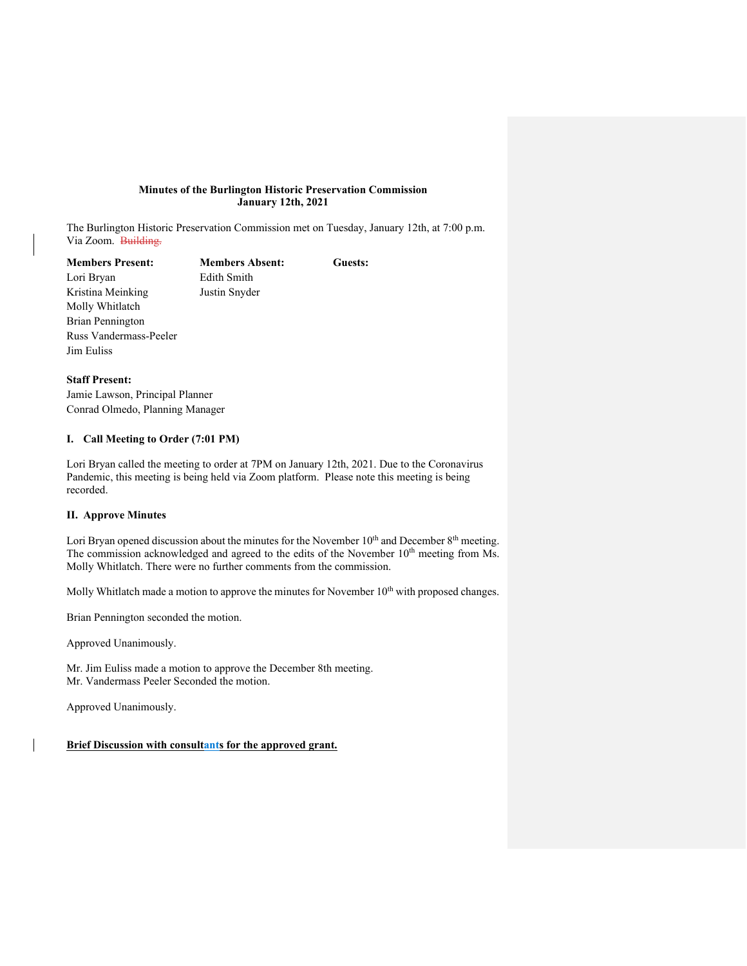## **Minutes of the Burlington Historic Preservation Commission January 12th, 2021**

The Burlington Historic Preservation Commission met on Tuesday, January 12th, at 7:00 p.m. Via Zoom. Building.

**Members Present: Members Absent: Guests:** Lori Bryan Edith Smith Kristina Meinking Justin Snyder Molly Whitlatch Brian Pennington Russ Vandermass-Peeler Jim Euliss

## **Staff Present:**

Jamie Lawson, Principal Planner Conrad Olmedo, Planning Manager

# **I. Call Meeting to Order (7:01 PM)**

Lori Bryan called the meeting to order at 7PM on January 12th, 2021. Due to the Coronavirus Pandemic, this meeting is being held via Zoom platform. Please note this meeting is being recorded.

## **II. Approve Minutes**

Lori Bryan opened discussion about the minutes for the November  $10<sup>th</sup>$  and December  $8<sup>th</sup>$  meeting. The commission acknowledged and agreed to the edits of the November  $10<sup>th</sup>$  meeting from Ms. Molly Whitlatch. There were no further comments from the commission.

Molly Whitlatch made a motion to approve the minutes for November  $10<sup>th</sup>$  with proposed changes.

Brian Pennington seconded the motion.

Approved Unanimously.

Mr. Jim Euliss made a motion to approve the December 8th meeting. Mr. Vandermass Peeler Seconded the motion.

Approved Unanimously.

**Brief Discussion with consultants for the approved grant.**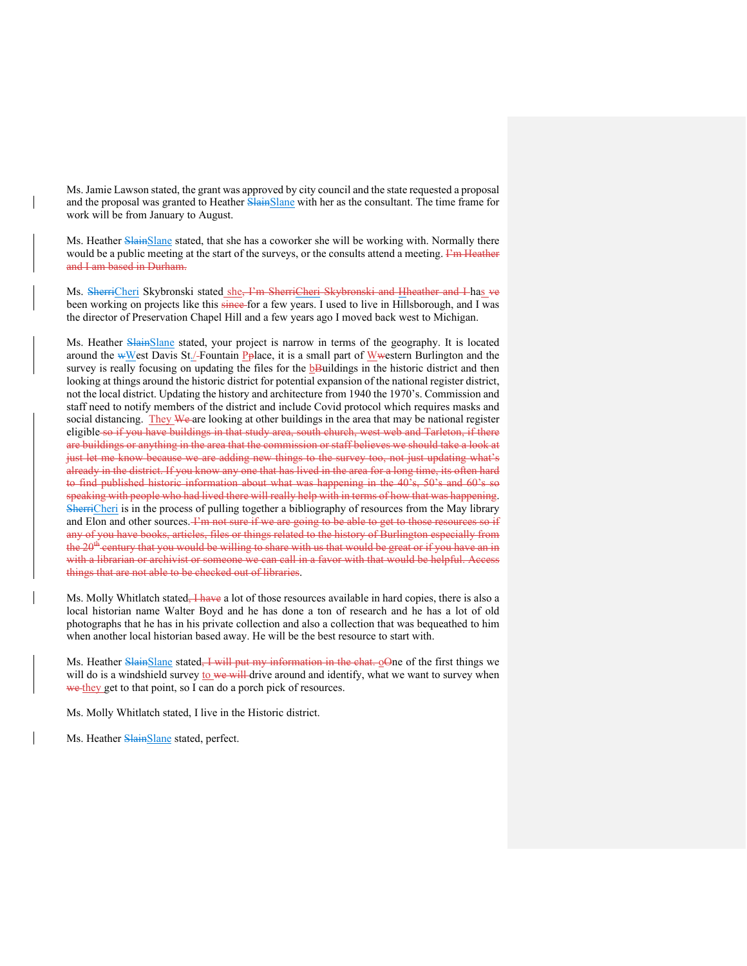Ms. Jamie Lawson stated, the grant was approved by city council and the state requested a proposal and the proposal was granted to Heather SlainSlane with her as the consultant. The time frame for work will be from January to August.

Ms. Heather SlainSlane stated, that she has a coworker she will be working with. Normally there would be a public meeting at the start of the surveys, or the consults attend a meeting. Find Heather and I am based in Durham.

Ms. SherriCheri Skybronski stated she, I'm SherriCheri Skybronski and Hheather and I has ve been working on projects like this since-for a few years. I used to live in Hillsborough, and I was the director of Preservation Chapel Hill and a few years ago I moved back west to Michigan.

Ms. Heather SlainSlane stated, your project is narrow in terms of the geography. It is located around the wWest Davis St./-Fountain Pplace, it is a small part of Wwestern Burlington and the survey is really focusing on updating the files for the **bBuildings** in the historic district and then looking at things around the historic district for potential expansion of the national register district, not the local district. Updating the history and architecture from 1940 the 1970's. Commission and staff need to notify members of the district and include Covid protocol which requires masks and social distancing. They We are looking at other buildings in the area that may be national register eligible so if you have buildings in that study area, south church, west web and Tarleton, if there are buildings or anything in the area that the commission or staff believes we should take a look at just let me know because we are adding new things to the survey too, not just updating what's already in the district. If you know any one that has lived in the area for a long time, its often hard to find published historic information about what was happening in the 40's, 50's and 60's so speaking with people who had lived there will really help with in terms of how that was happening. SherriCheri is in the process of pulling together a bibliography of resources from the May library and Elon and other sources. Fin not sure if we are going to be able to get to those resources so if any of you have books, articles, files or things related to the history of Burlington especially from the 20<sup>th</sup> century that you would be willing to share with us that would be great or if you have an in with a librarian or archivist or someone we can call in a favor with that would be helpful. Access things that are not able to be checked out of libraries.

Ms. Molly Whitlatch stated, *I have* a lot of those resources available in hard copies, there is also a local historian name Walter Boyd and he has done a ton of research and he has a lot of old photographs that he has in his private collection and also a collection that was bequeathed to him when another local historian based away. He will be the best resource to start with.

Ms. Heather SlainSlane stated, I will put my information in the chat. oOne of the first things we will do is a windshield survey to we will drive around and identify, what we want to survey when we they get to that point, so I can do a porch pick of resources.

Ms. Molly Whitlatch stated, I live in the Historic district.

Ms. Heather SlainSlane stated, perfect.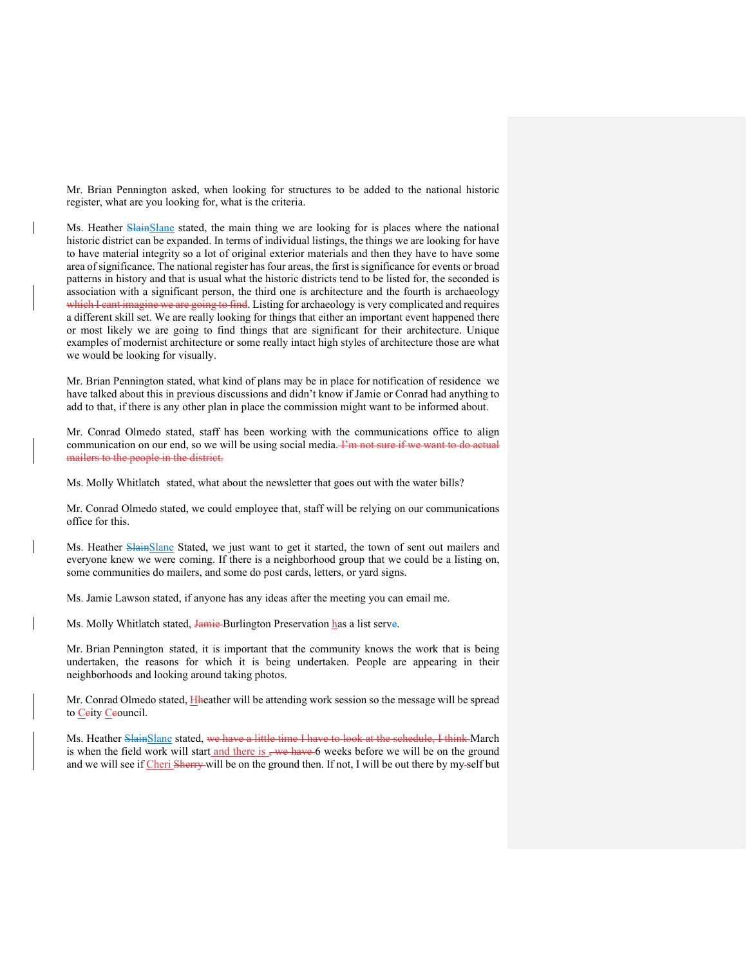Mr. Brian Pennington asked, when looking for structures to be added to the national historic register, what are you looking for, what is the criteria.

Ms. Heather SlainSlane stated, the main thing we are looking for is places where the national historic district can be expanded. In terms of individual listings, the things we are looking for have to have material integrity so a lot of original exterior materials and then they have to have some area of significance. The national register has four areas, the first is significance for events or broad patterns in history and that is usual what the historic districts tend to be listed for, the seconded is association with a significant person, the third one is architecture and the fourth is archaeology which I cant imagine we are going to find. Listing for archaeology is very complicated and requires a different skill set. We are really looking for things that either an important event happened there or most likely we are going to find things that are significant for their architecture. Unique examples of modernist architecture or some really intact high styles of architecture those are what we would be looking for visually.

Mr. Brian Pennington stated, what kind of plans may be in place for notification of residence we have talked about this in previous discussions and didn't know if Jamie or Conrad had anything to add to that, if there is any other plan in place the commission might want to be informed about.

Mr. Conrad Olmedo stated, staff has been working with the communications office to align communication on our end, so we will be using social media. Fin not sure if we want to do actual mailers to the people in the district.

Ms. Molly Whitlatch stated, what about the newsletter that goes out with the water bills?

Mr. Conrad Olmedo stated, we could employee that, staff will be relying on our communications office for this.

Ms. Heather SlainSlane Stated, we just want to get it started, the town of sent out mailers and everyone knew we were coming. If there is a neighborhood group that we could be a listing on, some communities do mailers, and some do post cards, letters, or yard signs.

Ms. Jamie Lawson stated, if anyone has any ideas after the meeting you can email me.

Ms. Molly Whitlatch stated, Jamie Burlington Preservation has a list serve.

Mr. Brian Pennington stated, it is important that the community knows the work that is being undertaken, the reasons for which it is being undertaken. People are appearing in their neighborhoods and looking around taking photos.

Mr. Conrad Olmedo stated, Hheather will be attending work session so the message will be spread to Ceity Ceouncil.

Ms. Heather SlainSlane stated, we have a little time I have to look at the schedule, I think March is when the field work will start and there is  $\frac{1}{2}$  we have 6 weeks before we will be on the ground and we will see if Cheri Sherry will be on the ground then. If not, I will be out there by my-self but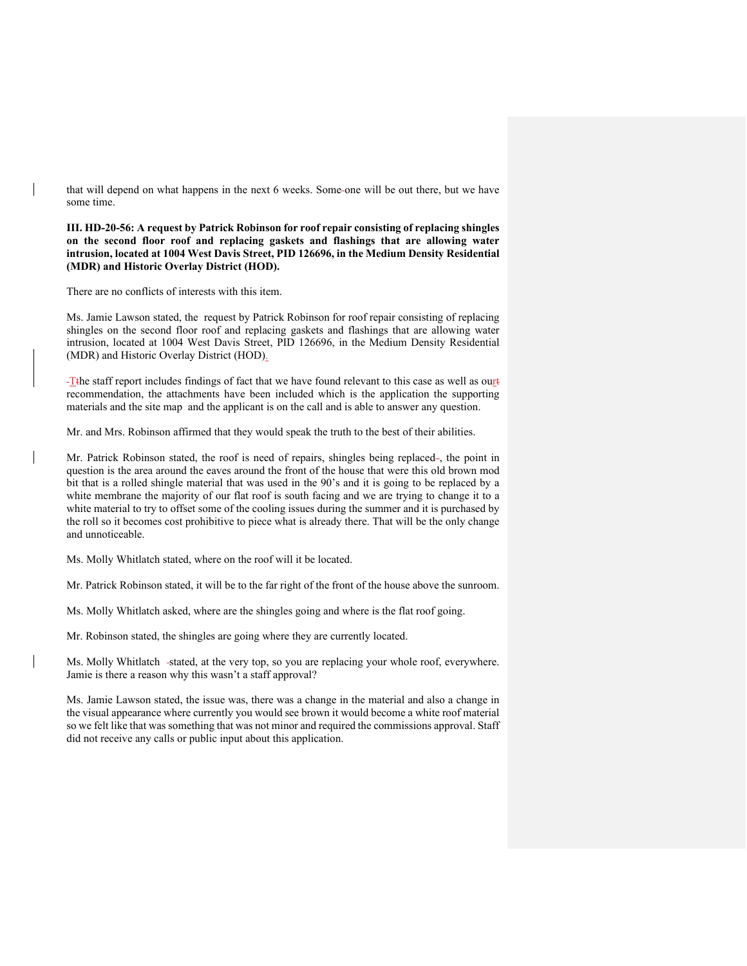that will depend on what happens in the next 6 weeks. Some one will be out there, but we have some time.

**III. HD-20-56: A request by Patrick Robinson for roof repair consisting of replacing shingles on the second floor roof and replacing gaskets and flashings that are allowing water intrusion, located at 1004 West Davis Street, PID 126696, in the Medium Density Residential (MDR) and Historic Overlay District (HOD).**

There are no conflicts of interests with this item.

Ms. Jamie Lawson stated, the request by Patrick Robinson for roof repair consisting of replacing shingles on the second floor roof and replacing gaskets and flashings that are allowing water intrusion, located at 1004 West Davis Street, PID 126696, in the Medium Density Residential (MDR) and Historic Overlay District (HOD).

-T<sub>the</sub> staff report includes findings of fact that we have found relevant to this case as well as ourted recommendation, the attachments have been included which is the application the supporting materials and the site map and the applicant is on the call and is able to answer any question.

Mr. and Mrs. Robinson affirmed that they would speak the truth to the best of their abilities.

Mr. Patrick Robinson stated, the roof is need of repairs, shingles being replaced-, the point in question is the area around the eaves around the front of the house that were this old brown mod bit that is a rolled shingle material that was used in the 90's and it is going to be replaced by a white membrane the majority of our flat roof is south facing and we are trying to change it to a white material to try to offset some of the cooling issues during the summer and it is purchased by the roll so it becomes cost prohibitive to piece what is already there. That will be the only change and unnoticeable.

Ms. Molly Whitlatch stated, where on the roof will it be located.

Mr. Patrick Robinson stated, it will be to the far right of the front of the house above the sunroom.

Ms. Molly Whitlatch asked, where are the shingles going and where is the flat roof going.

Mr. Robinson stated, the shingles are going where they are currently located.

Ms. Molly Whitlatch -stated, at the very top, so you are replacing your whole roof, everywhere. Jamie is there a reason why this wasn't a staff approval?

Ms. Jamie Lawson stated, the issue was, there was a change in the material and also a change in the visual appearance where currently you would see brown it would become a white roof material so we felt like that was something that was not minor and required the commissions approval. Staff did not receive any calls or public input about this application.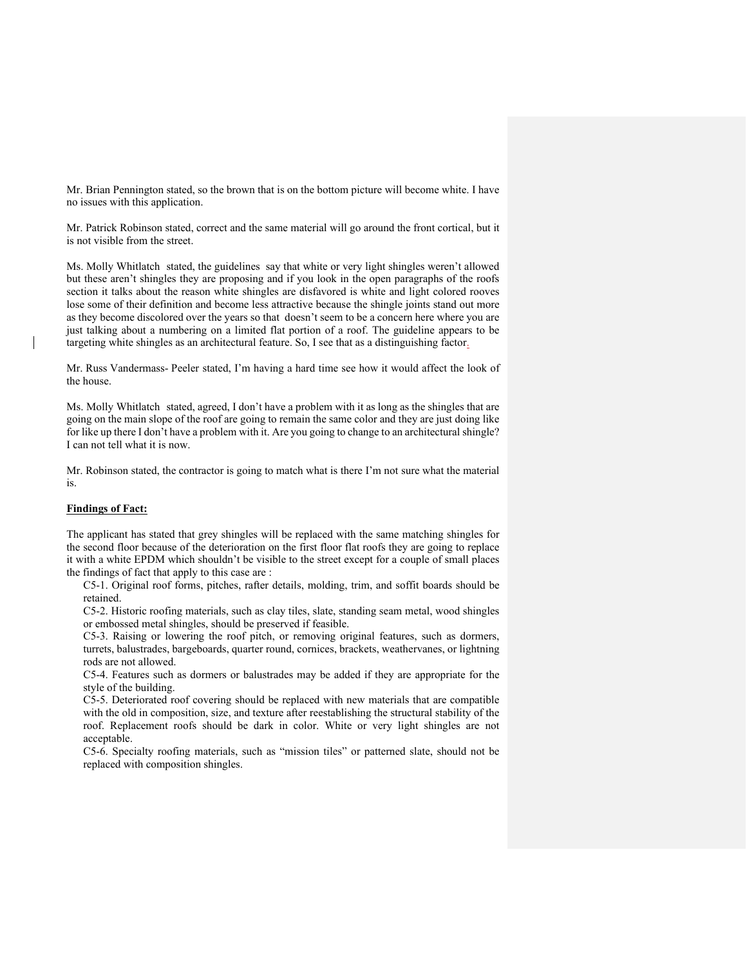Mr. Brian Pennington stated, so the brown that is on the bottom picture will become white. I have no issues with this application.

Mr. Patrick Robinson stated, correct and the same material will go around the front cortical, but it is not visible from the street.

Ms. Molly Whitlatch stated, the guidelines say that white or very light shingles weren't allowed but these aren't shingles they are proposing and if you look in the open paragraphs of the roofs section it talks about the reason white shingles are disfavored is white and light colored rooves lose some of their definition and become less attractive because the shingle joints stand out more as they become discolored over the years so that doesn't seem to be a concern here where you are just talking about a numbering on a limited flat portion of a roof. The guideline appears to be targeting white shingles as an architectural feature. So, I see that as a distinguishing factor.

Mr. Russ Vandermass- Peeler stated, I'm having a hard time see how it would affect the look of the house.

Ms. Molly Whitlatch stated, agreed, I don't have a problem with it as long as the shingles that are going on the main slope of the roof are going to remain the same color and they are just doing like for like up there I don't have a problem with it. Are you going to change to an architectural shingle? I can not tell what it is now.

Mr. Robinson stated, the contractor is going to match what is there I'm not sure what the material is.

## **Findings of Fact:**

The applicant has stated that grey shingles will be replaced with the same matching shingles for the second floor because of the deterioration on the first floor flat roofs they are going to replace it with a white EPDM which shouldn't be visible to the street except for a couple of small places the findings of fact that apply to this case are :

C5-1. Original roof forms, pitches, rafter details, molding, trim, and soffit boards should be retained.

C5-2. Historic roofing materials, such as clay tiles, slate, standing seam metal, wood shingles or embossed metal shingles, should be preserved if feasible.

C5-3. Raising or lowering the roof pitch, or removing original features, such as dormers, turrets, balustrades, bargeboards, quarter round, cornices, brackets, weathervanes, or lightning rods are not allowed.

C5-4. Features such as dormers or balustrades may be added if they are appropriate for the style of the building.

C5-5. Deteriorated roof covering should be replaced with new materials that are compatible with the old in composition, size, and texture after reestablishing the structural stability of the roof. Replacement roofs should be dark in color. White or very light shingles are not acceptable.

C5-6. Specialty roofing materials, such as "mission tiles" or patterned slate, should not be replaced with composition shingles.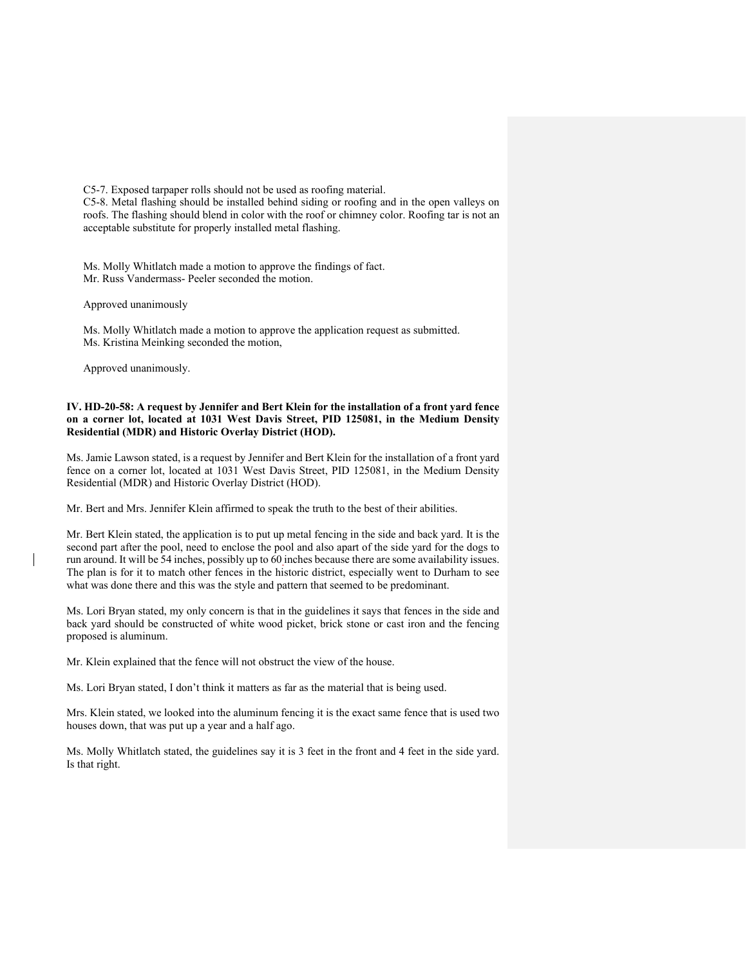C5-7. Exposed tarpaper rolls should not be used as roofing material.

C5-8. Metal flashing should be installed behind siding or roofing and in the open valleys on roofs. The flashing should blend in color with the roof or chimney color. Roofing tar is not an acceptable substitute for properly installed metal flashing.

Ms. Molly Whitlatch made a motion to approve the findings of fact. Mr. Russ Vandermass- Peeler seconded the motion.

Approved unanimously

Ms. Molly Whitlatch made a motion to approve the application request as submitted. Ms. Kristina Meinking seconded the motion,

Approved unanimously.

# **IV. HD-20-58: A request by Jennifer and Bert Klein for the installation of a front yard fence on a corner lot, located at 1031 West Davis Street, PID 125081, in the Medium Density Residential (MDR) and Historic Overlay District (HOD).**

Ms. Jamie Lawson stated, is a request by Jennifer and Bert Klein for the installation of a front yard fence on a corner lot, located at 1031 West Davis Street, PID 125081, in the Medium Density Residential (MDR) and Historic Overlay District (HOD).

Mr. Bert and Mrs. Jennifer Klein affirmed to speak the truth to the best of their abilities.

Mr. Bert Klein stated, the application is to put up metal fencing in the side and back yard. It is the second part after the pool, need to enclose the pool and also apart of the side yard for the dogs to run around. It will be 54 inches, possibly up to 60 inches because there are some availability issues. The plan is for it to match other fences in the historic district, especially went to Durham to see what was done there and this was the style and pattern that seemed to be predominant.

Ms. Lori Bryan stated, my only concern is that in the guidelines it says that fences in the side and back yard should be constructed of white wood picket, brick stone or cast iron and the fencing proposed is aluminum.

Mr. Klein explained that the fence will not obstruct the view of the house.

Ms. Lori Bryan stated, I don't think it matters as far as the material that is being used.

Mrs. Klein stated, we looked into the aluminum fencing it is the exact same fence that is used two houses down, that was put up a year and a half ago.

Ms. Molly Whitlatch stated, the guidelines say it is 3 feet in the front and 4 feet in the side yard. Is that right.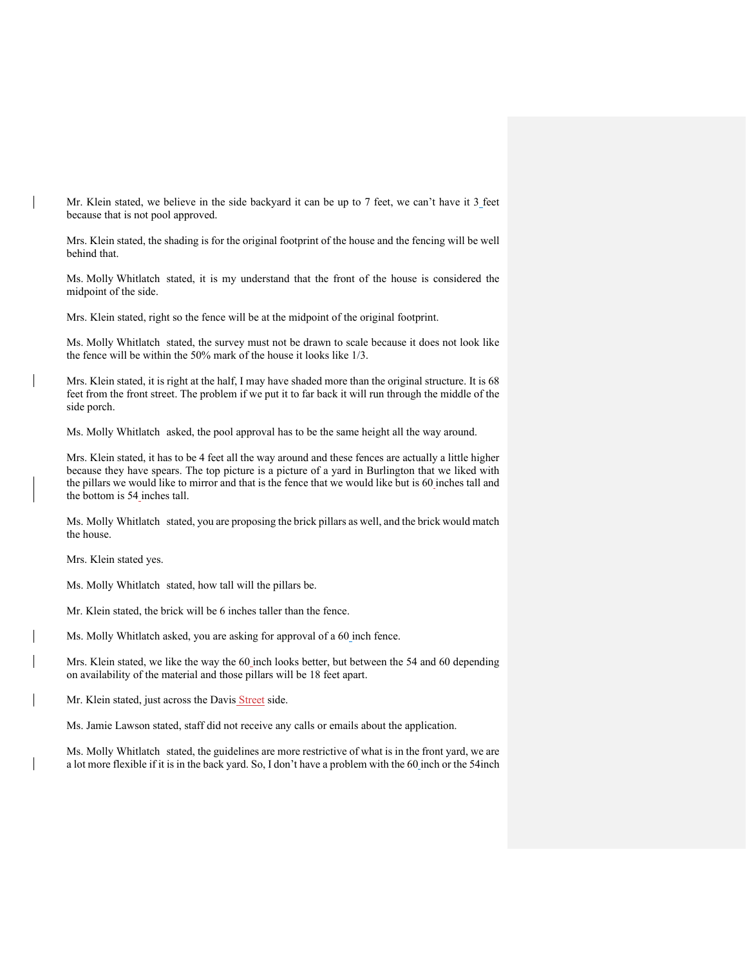Mr. Klein stated, we believe in the side backyard it can be up to 7 feet, we can't have it 3 feet because that is not pool approved.

Mrs. Klein stated, the shading is for the original footprint of the house and the fencing will be well behind that.

Ms. Molly Whitlatch stated, it is my understand that the front of the house is considered the midpoint of the side.

Mrs. Klein stated, right so the fence will be at the midpoint of the original footprint.

Ms. Molly Whitlatch stated, the survey must not be drawn to scale because it does not look like the fence will be within the 50% mark of the house it looks like 1/3.

Mrs. Klein stated, it is right at the half, I may have shaded more than the original structure. It is 68 feet from the front street. The problem if we put it to far back it will run through the middle of the side porch.

Ms. Molly Whitlatch asked, the pool approval has to be the same height all the way around.

Mrs. Klein stated, it has to be 4 feet all the way around and these fences are actually a little higher because they have spears. The top picture is a picture of a yard in Burlington that we liked with the pillars we would like to mirror and that is the fence that we would like but is 60 inches tall and the bottom is 54 inches tall.

Ms. Molly Whitlatch stated, you are proposing the brick pillars as well, and the brick would match the house.

Mrs. Klein stated yes.

Ms. Molly Whitlatch stated, how tall will the pillars be.

Mr. Klein stated, the brick will be 6 inches taller than the fence.

Ms. Molly Whitlatch asked, you are asking for approval of a 60 inch fence.

Mrs. Klein stated, we like the way the 60 inch looks better, but between the 54 and 60 depending on availability of the material and those pillars will be 18 feet apart.

Mr. Klein stated, just across the Davis Street side.

Ms. Jamie Lawson stated, staff did not receive any calls or emails about the application.

Ms. Molly Whitlatch stated, the guidelines are more restrictive of what is in the front yard, we are a lot more flexible if it is in the back yard. So, I don't have a problem with the 60 inch or the 54inch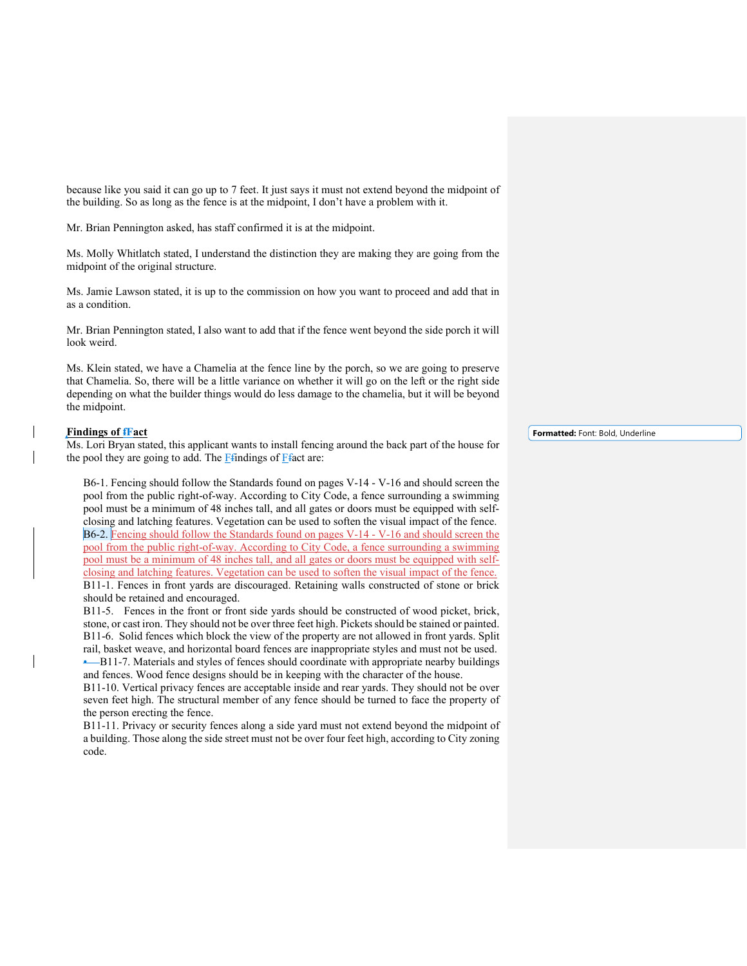because like you said it can go up to 7 feet. It just says it must not extend beyond the midpoint of the building. So as long as the fence is at the midpoint, I don't have a problem with it.

Mr. Brian Pennington asked, has staff confirmed it is at the midpoint.

Ms. Molly Whitlatch stated, I understand the distinction they are making they are going from the midpoint of the original structure.

Ms. Jamie Lawson stated, it is up to the commission on how you want to proceed and add that in as a condition.

Mr. Brian Pennington stated, I also want to add that if the fence went beyond the side porch it will look weird.

Ms. Klein stated, we have a Chamelia at the fence line by the porch, so we are going to preserve that Chamelia. So, there will be a little variance on whether it will go on the left or the right side depending on what the builder things would do less damage to the chamelia, but it will be beyond the midpoint.

## **Findings of fFact**

Ms. Lori Bryan stated, this applicant wants to install fencing around the back part of the house for the pool they are going to add. The  $F$ *findings* of  $F$ *fact are:* 

B6-1. Fencing should follow the Standards found on pages V-14 - V-16 and should screen the pool from the public right-of-way. According to City Code, a fence surrounding a swimming pool must be a minimum of 48 inches tall, and all gates or doors must be equipped with selfclosing and latching features. Vegetation can be used to soften the visual impact of the fence. B6-2. Fencing should follow the Standards found on pages V-14 - V-16 and should screen the pool from the public right-of-way. According to City Code, a fence surrounding a swimming pool must be a minimum of 48 inches tall, and all gates or doors must be equipped with selfclosing and latching features. Vegetation can be used to soften the visual impact of the fence. B11-1. Fences in front yards are discouraged. Retaining walls constructed of stone or brick should be retained and encouraged.

B11-5. Fences in the front or front side yards should be constructed of wood picket, brick, stone, or cast iron. They should not be over three feet high. Pickets should be stained or painted. B11-6. Solid fences which block the view of the property are not allowed in front yards. Split rail, basket weave, and horizontal board fences are inappropriate styles and must not be used. • B11-7. Materials and styles of fences should coordinate with appropriate nearby buildings and fences. Wood fence designs should be in keeping with the character of the house.

B11-10. Vertical privacy fences are acceptable inside and rear yards. They should not be over seven feet high. The structural member of any fence should be turned to face the property of the person erecting the fence.

B11-11. Privacy or security fences along a side yard must not extend beyond the midpoint of a building. Those along the side street must not be over four feet high, according to City zoning code.

**Formatted:** Font: Bold, Underline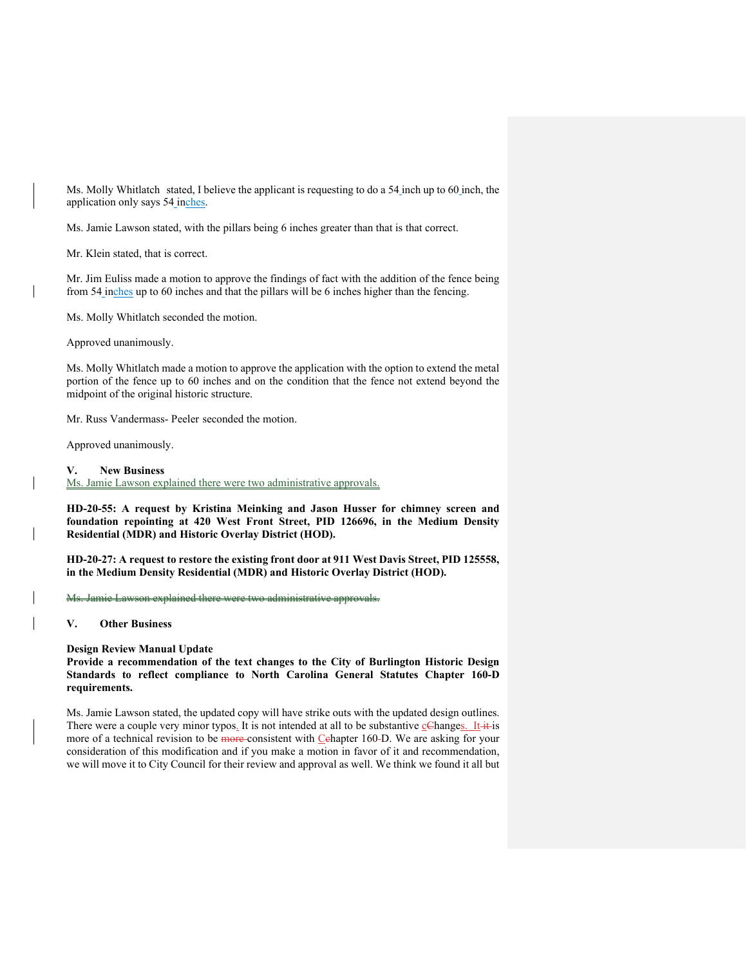Ms. Molly Whitlatch stated, I believe the applicant is requesting to do a 54 inch up to 60 inch, the application only says 54 inches.

Ms. Jamie Lawson stated, with the pillars being 6 inches greater than that is that correct.

Mr. Klein stated, that is correct.

Mr. Jim Euliss made a motion to approve the findings of fact with the addition of the fence being from 54 inches up to 60 inches and that the pillars will be 6 inches higher than the fencing.

Ms. Molly Whitlatch seconded the motion.

Approved unanimously.

Ms. Molly Whitlatch made a motion to approve the application with the option to extend the metal portion of the fence up to 60 inches and on the condition that the fence not extend beyond the midpoint of the original historic structure.

Mr. Russ Vandermass- Peeler seconded the motion.

Approved unanimously.

#### **V. New Business**

Ms. Jamie Lawson explained there were two administrative approvals.

**HD-20-55: A request by Kristina Meinking and Jason Husser for chimney screen and foundation repointing at 420 West Front Street, PID 126696, in the Medium Density Residential (MDR) and Historic Overlay District (HOD).**

**HD-20-27: A request to restore the existing front door at 911 West Davis Street, PID 125558, in the Medium Density Residential (MDR) and Historic Overlay District (HOD).**

Ms. Jamie Lawson explained there were two administrative approvals.

**V. Other Business**

### **Design Review Manual Update**

**Provide a recommendation of the text changes to the City of Burlington Historic Design Standards to reflect compliance to North Carolina General Statutes Chapter 160-D requirements.**

Ms. Jamie Lawson stated, the updated copy will have strike outs with the updated design outlines. There were a couple very minor typos. It is not intended at all to be substantive  $\mathcal{Q}$ Changes. It it is more of a technical revision to be more consistent with Cehapter 160-D. We are asking for your consideration of this modification and if you make a motion in favor of it and recommendation, we will move it to City Council for their review and approval as well. We think we found it all but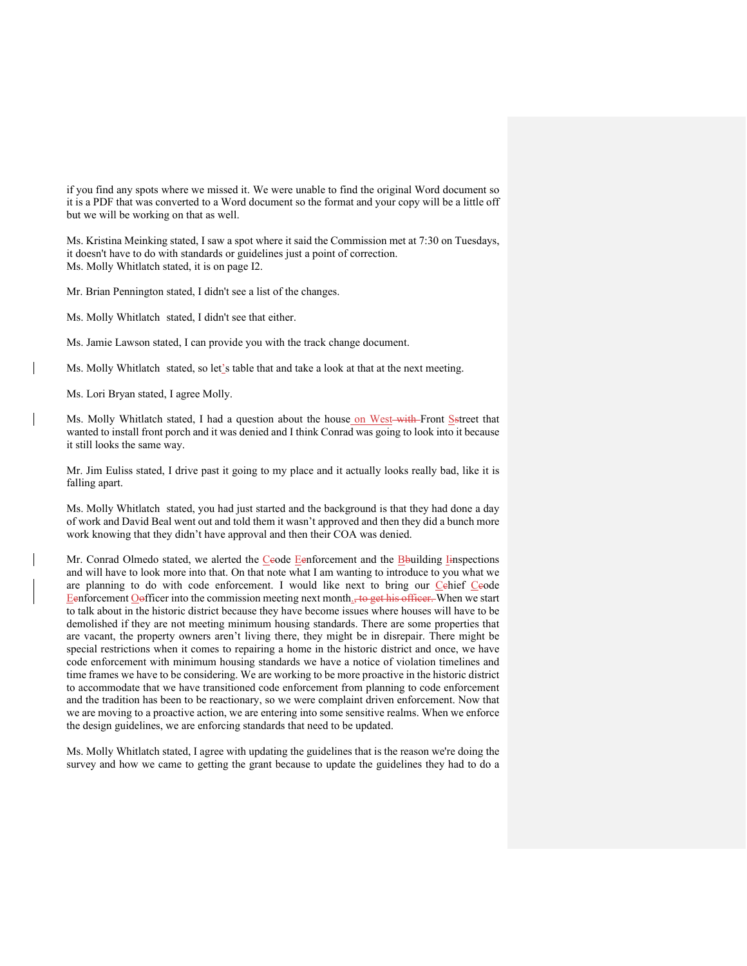if you find any spots where we missed it. We were unable to find the original Word document so it is a PDF that was converted to a Word document so the format and your copy will be a little off but we will be working on that as well.

Ms. Kristina Meinking stated, I saw a spot where it said the Commission met at 7:30 on Tuesdays, it doesn't have to do with standards or guidelines just a point of correction. Ms. Molly Whitlatch stated, it is on page I2.

Mr. Brian Pennington stated, I didn't see a list of the changes.

Ms. Molly Whitlatch stated, I didn't see that either.

Ms. Jamie Lawson stated, I can provide you with the track change document.

Ms. Molly Whitlatch stated, so let's table that and take a look at that at the next meeting.

Ms. Lori Bryan stated, I agree Molly.

Ms. Molly Whitlatch stated, I had a question about the house on West-with-Front Setreet that wanted to install front porch and it was denied and I think Conrad was going to look into it because it still looks the same way.

Mr. Jim Euliss stated, I drive past it going to my place and it actually looks really bad, like it is falling apart.

Ms. Molly Whitlatch stated, you had just started and the background is that they had done a day of work and David Beal went out and told them it wasn't approved and then they did a bunch more work knowing that they didn't have approval and then their COA was denied.

Mr. Conrad Olmedo stated, we alerted the Ceode Eenforcement and the Bbuilding Inspections and will have to look more into that. On that note what I am wanting to introduce to you what we are planning to do with code enforcement. I would like next to bring our Cehief Ceode Eenforcement Oofficer into the commission meeting next month<sub>as</sub> to get his officer. When we start to talk about in the historic district because they have become issues where houses will have to be demolished if they are not meeting minimum housing standards. There are some properties that are vacant, the property owners aren't living there, they might be in disrepair. There might be special restrictions when it comes to repairing a home in the historic district and once, we have code enforcement with minimum housing standards we have a notice of violation timelines and time frames we have to be considering. We are working to be more proactive in the historic district to accommodate that we have transitioned code enforcement from planning to code enforcement and the tradition has been to be reactionary, so we were complaint driven enforcement. Now that we are moving to a proactive action, we are entering into some sensitive realms. When we enforce the design guidelines, we are enforcing standards that need to be updated.

Ms. Molly Whitlatch stated, I agree with updating the guidelines that is the reason we're doing the survey and how we came to getting the grant because to update the guidelines they had to do a